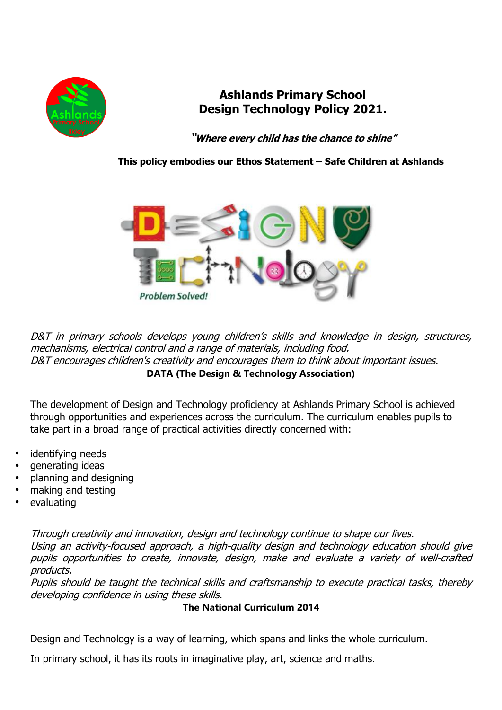

# **Ashlands Primary School Design Technology Policy 2021.**

**"Where every child has the chance to shine"**

 **This policy embodies our Ethos Statement – Safe Children at Ashlands**



D&T in primary schools develops young children's skills and knowledge in design, structures, mechanisms, electrical control and <sup>a</sup> range of materials, including food. D&T encourages children's creativity and encourages them to think about important issues. **DATA (The Design & Technology Association)**

The development of Design and Technology proficiency at Ashlands Primary School is achieved through opportunities and experiences across the curriculum. The curriculum enables pupils to take part in a broad range of practical activities directly concerned with:

- identifving needs
- generating ideas
- planning and designing
- making and testing
- evaluating

Through creativity and innovation, design and technology continue to shape our lives. Using an activity-focused approach, <sup>a</sup> high-quality design and technology education should give pupils opportunities to create, innovate, design, make and evaluate <sup>a</sup> variety of well-crafted products.

Pupils should be taught the technical skills and craftsmanship to execute practical tasks, thereby developing confidence in using these skills.

**The National Curriculum 2014**

Design and Technology is a way of learning, which spans and links the whole curriculum.

In primary school, it has its roots in imaginative play, art, science and maths.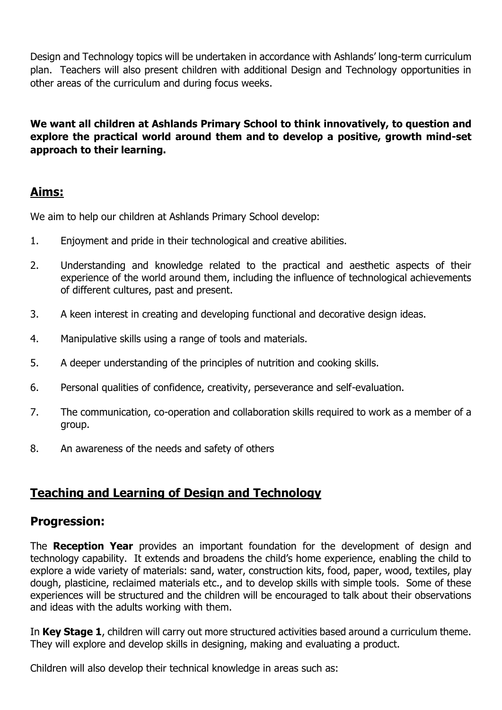Design and Technology topics will be undertaken in accordance with Ashlands' long-term curriculum plan. Teachers will also present children with additional Design and Technology opportunities in other areas of the curriculum and during focus weeks.

**We want all children at Ashlands Primary School to think innovatively, to question and explore the practical world around them and to develop a positive, growth mind-set approach to their learning.**

## **Aims:**

We aim to help our children at Ashlands Primary School develop:

- 1. Enjoyment and pride in their technological and creative abilities.
- 2. Understanding and knowledge related to the practical and aesthetic aspects of their experience of the world around them, including the influence of technological achievements of different cultures, past and present.
- 3. A keen interest in creating and developing functional and decorative design ideas.
- 4. Manipulative skills using a range of tools and materials.
- 5. A deeper understanding of the principles of nutrition and cooking skills.
- 6. Personal qualities of confidence, creativity, perseverance and self-evaluation.
- 7. The communication, co-operation and collaboration skills required to work as a member of a group.
- 8. An awareness of the needs and safety of others

# **Teaching and Learning of Design and Technology**

### **Progression:**

The **Reception Year** provides an important foundation for the development of design and technology capability. It extends and broadens the child's home experience, enabling the child to explore a wide variety of materials: sand, water, construction kits, food, paper, wood, textiles, play dough, plasticine, reclaimed materials etc., and to develop skills with simple tools. Some of these experiences will be structured and the children will be encouraged to talk about their observations and ideas with the adults working with them.

In **Key Stage 1**, children will carry out more structured activities based around a curriculum theme. They will explore and develop skills in designing, making and evaluating a product.

Children will also develop their technical knowledge in areas such as: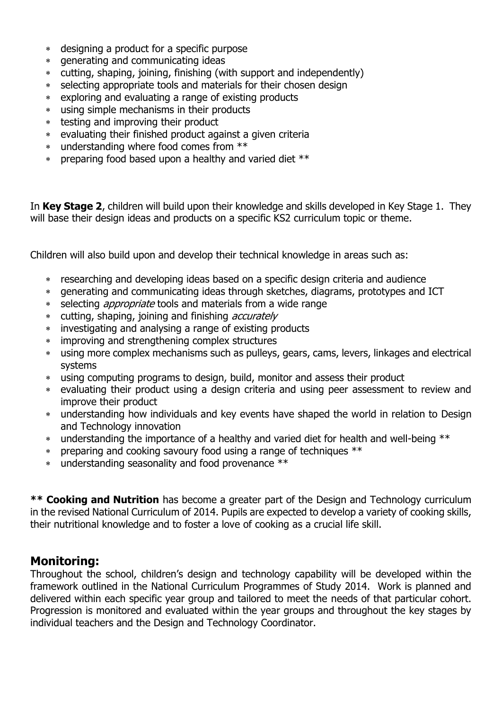- designing a product for a specific purpose
- generating and communicating ideas
- cutting, shaping, joining, finishing (with support and independently)
- selecting appropriate tools and materials for their chosen design
- exploring and evaluating a range of existing products
- using simple mechanisms in their products
- testing and improving their product
- evaluating their finished product against a given criteria
- understanding where food comes from \*\*
- preparing food based upon a healthy and varied diet \*\*

In **Key Stage 2**, children will build upon their knowledge and skills developed in Key Stage 1. They will base their design ideas and products on a specific KS2 curriculum topic or theme.

Children will also build upon and develop their technical knowledge in areas such as:

- researching and developing ideas based on a specific design criteria and audience
- generating and communicating ideas through sketches, diagrams, prototypes and ICT
- \* selecting *appropriate* tools and materials from a wide range
- \* cutting, shaping, joining and finishing *accurately*
- investigating and analysing a range of existing products
- improving and strengthening complex structures
- using more complex mechanisms such as pulleys, gears, cams, levers, linkages and electrical systems
- using computing programs to design, build, monitor and assess their product
- evaluating their product using a design criteria and using peer assessment to review and improve their product
- understanding how individuals and key events have shaped the world in relation to Design and Technology innovation
- \* understanding the importance of a healthy and varied diet for health and well-being \*\*
- preparing and cooking savoury food using a range of techniques \*\*
- understanding seasonality and food provenance \*\*

**\*\* Cooking and Nutrition** has become a greater part of the Design and Technology curriculum in the revised National Curriculum of 2014. Pupils are expected to develop a variety of cooking skills, their nutritional knowledge and to foster a love of cooking as a crucial life skill.

### **Monitoring:**

Throughout the school, children's design and technology capability will be developed within the framework outlined in the National Curriculum Programmes of Study 2014. Work is planned and delivered within each specific year group and tailored to meet the needs of that particular cohort. Progression is monitored and evaluated within the year groups and throughout the key stages by individual teachers and the Design and Technology Coordinator.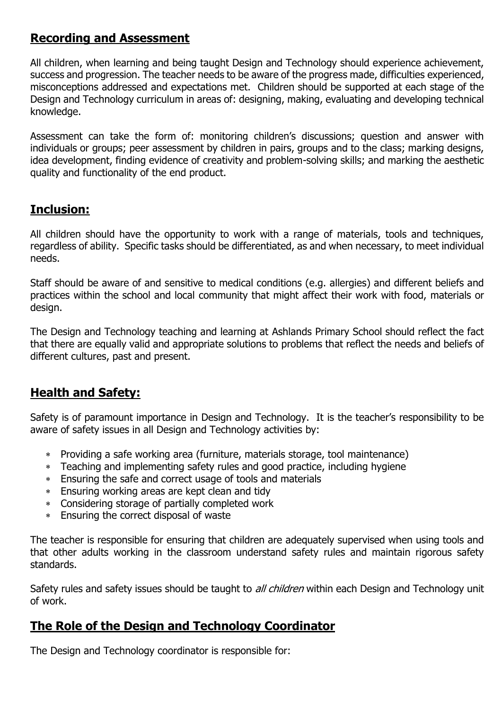# **Recording and Assessment**

All children, when learning and being taught Design and Technology should experience achievement, success and progression. The teacher needs to be aware of the progress made, difficulties experienced, misconceptions addressed and expectations met. Children should be supported at each stage of the Design and Technology curriculum in areas of: designing, making, evaluating and developing technical knowledge.

Assessment can take the form of: monitoring children's discussions; question and answer with individuals or groups; peer assessment by children in pairs, groups and to the class; marking designs, idea development, finding evidence of creativity and problem-solving skills; and marking the aesthetic quality and functionality of the end product.

## **Inclusion:**

All children should have the opportunity to work with a range of materials, tools and techniques, regardless of ability. Specific tasks should be differentiated, as and when necessary, to meet individual needs.

Staff should be aware of and sensitive to medical conditions (e.g. allergies) and different beliefs and practices within the school and local community that might affect their work with food, materials or design.

The Design and Technology teaching and learning at Ashlands Primary School should reflect the fact that there are equally valid and appropriate solutions to problems that reflect the needs and beliefs of different cultures, past and present.

## **Health and Safety:**

Safety is of paramount importance in Design and Technology. It is the teacher's responsibility to be aware of safety issues in all Design and Technology activities by:

- Providing a safe working area (furniture, materials storage, tool maintenance)
- Teaching and implementing safety rules and good practice, including hygiene
- Ensuring the safe and correct usage of tools and materials
- Ensuring working areas are kept clean and tidy
- Considering storage of partially completed work
- Ensuring the correct disposal of waste

The teacher is responsible for ensuring that children are adequately supervised when using tools and that other adults working in the classroom understand safety rules and maintain rigorous safety standards.

Safety rules and safety issues should be taught to *all children* within each Design and Technology unit of work.

# **The Role of the Design and Technology Coordinator**

The Design and Technology coordinator is responsible for: